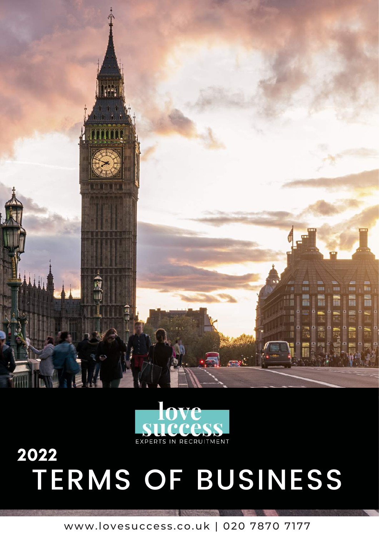



# 2022 TERMS OF BUSINESS

www.lovesuccess.co.uk | 020 7870 7177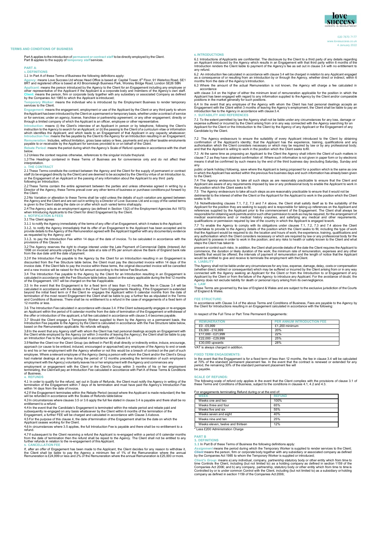

020 7870 7177 www.lovesuccess.co.uk 4 January 2022

# **TERMS AND CONDITIONS OF BUSINESS**

Part A applies to the introduction of **permanent or contract staff** to be directly employed by the Client. Part B applies to the supply of **temporary staff**services.

**PART A**:

1. DEFINITIONS<br>1.1 In Part Aof these Terms of Business the following definitions apply:<br>1.1 In Part Aof these Terms of Business the following definitions apply:<br>Agency: means Love Success Ltd whose Head Office is based at:

Engagement: means the engagement, employment or use of the Applicant by the Client or any third party to whom<br>the Applicant has been introduced by the Client on a permanent or temporary basis, whether under a contract of s

Introduction: means (i) the Client's interview of an Applicant in person or by telephone, following the Client's<br>instruction to the Agency to search for an Applicant; or (ii) the passing to the Client of a curriculum vitae which identifies the Applicant; and which leads to an Engagement of that Applicant in any capacity whatsoever;<br>Introduction Fee: means the fee payable by the Client to the Agency for an Introduction resulting in an Engagem **Remuneration:** Includes, without limitation, gross base salary or fees, payments and any other taxable emoluments payable to or receivable by the Applicant for services provided to or on behalf of the Client.

**Rebate Period:** means the period during which the Agency's Scale of Refund operates in accordance with the chart below.

1.2 Unless the context requires otherwise, references to the singular include theplural. 1.3 The Headings contained in these Terms of Business are for convenience only and do not affect their interpretation.

# **2. THE CONTRACT**

2.1 These Terms constitute the contract between the Agency and the Client for the supply of permanent or contract<br>staff (to be engaged directly by the Client) and are deemed to be accepted by the Client by virtue of an Int staff (to be entitled and internal or the Engagement or

2.2 These Terms contain the entire agreement between the parties and unless otherwise agreed in writing by a<br>Director of the Agency, these Terms prevail over any other terms of business or purchase conditions put forward b

2.3 No Variation or alteration to these Terms shall be valid unless the details of such variation are agreed between<br>the Agency and the Client and are set out in writing by a Director of Love Success Ltd and a copy of the

2.4 The Agency acts as an employment agency (as defined in Section 13(2) of the Employment Agencies Act 1973) when Introducing Applicants to the Client for direct Engagement by the Client.

# **3. NOTIFICATION & FEES** 3.1 The Client agrees:

3.1.1 to notify the Agency immediately of the terms of any offer of an Engagement, which it makes to the Applicant;<br>3.1.2. to notify the Agency immediately that its offer of an Engagement to the Applicant has been accepted as requested by the Agency; and

3.1.3. to pay the Introduction Fee within 14 days of the date of invoice. To be calculated in accordance with the provisions of this Clause 3.

3.2 The Agency reserves the right to charge interest under the Late Payment of Commercial Debts (Interest) Act<br>1998 on invoiced amounts unpaid by the due date at a rate of 8% per annum above the Bank of England bank rate<br>f

3.3If the Introduction Fee payable to the Agency by the Client for an Introduction resulting in an Engagement is<br>discounted from the Fee Structure table below, the Client must pay the discounted invoice within 14 days of t

3.4 The Introduction Fee payable to the Agency by the Client for an Introduction resulting in an Engagement is<br>calculated in accordance with the Fee Structure table below, based on the salary applicable during the first 12

3.5 In the event that the Engagement is for a fixed term of less than 12 months, the fee in Clause 3.4 will be<br>calculated in accordance with the details in the Fixed Term Engagements Heading. If the Engagement is extended<br> 12 months or less.

3.6 The Introduction Fee calculated in accordance with clause 3.4. If the Client subsequently engages or re-engages an Applicant within the period of 6 calendar months from the date of termination of the Engagement or withdrawal of<br>the offer or introduction of the applicant, a full fee calculated in accordance with clause 3.4 becomes pa

3.7 Should the Client engage a Temporary Worker supplied to them by the Agency on a permanent basis, the<br>Introduction Fee payable to the Agency by the Client is calculated in accordance with the Fee Structure table below,<br>

3.8 In the event that any Agency staff with whom the Client has had personal dealings accepts an Engagement with<br>the Client while employed by the Agency (or within 3 months of leaving the Agency), the Client shall be liabl

3.9 Neither the Client nor the Client Group (as defined in Part B) shall directly or indirectly entice, induce, encourage,<br>approach (or cause to be enticed, induced, encouraged or approached) any employee of the Agency to employee. Where a relevant employee of the Agency (being a person with whom the Client and/or the Client's Group had material dealings at any time during the period of 12 months preceding the termination of such employee's employment with the Agency) voluntarily leaves his or her employment with theAgency and commences any

employment or engagement with the Client or the Client's Group within 3 months of his or her employment terminating, the Client will pay an Introduction Fee calculated in accordance with Part A of these Terms & Conditions of Business.

## **4. REFUNDS**

4.1 In order to qualify for the refund, set out in Scale of Refunds, the Client must notify the Agency in writing of the<br>termination of the Engagement within 7 days of its termination and must have paid the Agency's Introd

4.2 If the Engagement terminates within the Rebate Period (except where the Applicant is made redundant) the fee<br>will be refunded in accordance with the Scales of Refunds table below

will be refunded in accordance with the Scales of Refunds tablebelow 4.3 In circumstances where clauses 3.5 or 3.6 apply the full fee stated in clause 3.4 is payable and there shall be no entitlement to a refund.

4.4 In the event that the Candidate's Engagement is terminated within the rebate period and rebate paid and<br>subsequently re-engaged on any basis whatscever by the Client within 6 months of the termination of the<br>Engagement

4.5 For the purpose of this clause 4, the date of termination of the Engagement shall be the date on which the Applicant ceases working for the Client.

...<br>4.6 In circumstances where 3.5 applies, the full Introduction Fee is payable and there shall be no entitlement to a<br>refund

4.7If subsequent to the Client receiving a refund the Applicant is re-engaged within a period of 6 calendar months<br>from the date of termination then the refund shall be repaid to the Agency. The Client shall not be entitle

s. CANCELLATION FEE<br>If, after an offer of Engagement has been made to the Applicant, the Client decides for any reason to withdraw it,<br>the Client shall be liable to pay the Agency a minimum fee of 1% of the Remuneration wh

6. INTRODUCTIONS<br>6.1 Introductions of Applicants are confidential. The disclosure by the Client to a third party of any details regarding<br>an Applicant introduced by the Agency which results in an Engagement with that third any refund.

6.2 An introduction fee calculated in accordance with clause 3.4 will be charged in relation to any Applicant engaged<br>as a consequence of or resulting from an introduction by or through the Agency, whether direct or indire

6.3 Where the amount of the actual Remuneration is not known, the Agency will charge a fee calculated in

accordance<br>with clause 3.4 on the higher of either the minimum level of remuneration applicable for the position in which the<br>Applicant has been engaged with regard to any information supplied to the Agency by the Client a

6.4 In the event that any employee of the Agency with whom the Client has had personal dealings accepts an<br>Engagement with the Client within 3 months of leaving the Agency's employment, the Client shall be liable to pay an

7. SUITABILITY AND REFERENCES<br>7.1 To the extent permitted by law the Agency shall not be liable under any circumstances for any loss, damage or<br>expense suffered or incurred by the Client arising from or in any way connect

7.2 The Agency endeavours to ensure the suitability of every Applicant introduced to the Client by obtaining confirmation of the Applicant's identity; that the Applicant has the experience, training, qualifications and any

7.3 At the same time as proposing an Applicant to the Client the Agency shall inform the Client of such matters in<br>clause 7.2 as they have obtained confirmation of. Where such information is not given in paper form or by e means it shall be confirmed by such means by the end of the third business day (excluding Saturday, Sunday and any

public orbank holiday) following, save where the Applicant is being proposed for a position which is the same as one<br>in which the Applicant has worked within the previous five business days and such information has already

7.4 The Agency endeavours to take all such steps as are reasonably practicable to ensure that the Client and<br>Applicant are aware of any requirements imposed by law or any professional body to enable the Applicant to work i

7.5 The Agency endeavours to take all such steps as are reasonably practicable to ensure that it would not be detrimental to the interest of either the Client or the Applicant for the Applicant to work in the position which the Client

seeks to fill.<br>
T.6 Notwithstanding clauses 7.1, 7.2, 7.3 and 7.4 above, the Client shall satisfy itself as to the suitability of the 7.5 Notwithstanding clauses 7.1, 7.2, 7.3 and 7.4 above, the Client shall satisfy itself as to the suitability of the Applicant and Applicant for the position they are seeking to supply and is responsible for taking up re

that the Applicant would be required to do; the location and hours of work; the experience, training, qualifications and<br>any authorisation which the Client considers necessary or which are required by law or any profession

prevent or control such risks. In addition, the Client shall provide details of the date the Client requires the Applicant to commence, the duration or likely duration of the work; the minimum rate of remuneration, expenses and any other<br>benefits that would be offered; the intervals of payment of remuneration and the length of notice that the App

s. LIABILITY<br>The Agency shall not be liable under any circumstances for any loss, expense, damage, delay, costs or compensation<br>(whether direct, indirect or consequential) which may be suffered or incurred by the Client ar

9. LAW<br>These Terms are governed by the law of England & Wales and are subject to the exclusive jurisdiction of the Courts<br>of England & Wales.

## **FEE STRUCTURE:**

In accordance with Clause 3.4 of the above Terms and Conditions of Business, Fees are payable to the Agency by the Client for Introductions resulting in an Engagement calculated in accordance with the following:

In respect of the Full Time or Part Time Permanent Engagements

**PER ANNUM INTRODUCTION FEE**  $£0 - £5,999$ <br>  $£1,200$  minimum<br>  $£6,000 - £16,999$ <br>  $20%$ £6,000 - £16,999 20% £17,000 - £21,999 22%  $\frac{£22,000 - £29,999}{25}$ <br> $\frac{25%}{280}$  $£30,000$  upwards VAT is always charged in addition.

# **FIXED TERM ENGAGEMENTS:**

In the event that the Engagement is for a fixed term of less than 12 months, the fee in clause 3.4 will be calculated<br>at 70% of the standard permanent placement fee. In the event that the contract is renewed or extended fo be payable.

## **SCALE OF REFUNDS:**

The following scale of refund only applies in the event that the Client complies with the provisions of clause 3.1 of these Terms and Conditions of Business, subject to the conditions in clauses 4.1, 4.2 and 4.3.

For engagements terminating Refund during or at the end of:

| WFFK                              | <b>REFUND</b> |
|-----------------------------------|---------------|
| Weeks one and two                 | 100%          |
| Weeks three and four              | 65%           |
| Weeks five and six                | 55%           |
| Weeks seven and eight             | 40%           |
| Weeks nine and ten                | 25%           |
| Weeks eleven, twelve and thirteen | 12%           |

\* Less £200 Administration Charge

## **PART B 1. DEFINITIONS**

**1.1** In Part B of these Terms of Business the following definitions apply:

As*signment* means the period during which the Temporary Worker is supplied to render services to the Client;<br>*Client* means the person, firm or corporate body together with any subsidiary or associated company as defined<br>

Client's Group: means a) any individual, company, partnership statutory body or other entity which from time to<br>time Controls the Client, including (but not limited to) as a holding company as defined in section 1159 of th Controlled by or is under common Control with the Client, including (but not limited to) as a subsidiary or holding company as defined in section 1159 of the Companies Act 2006;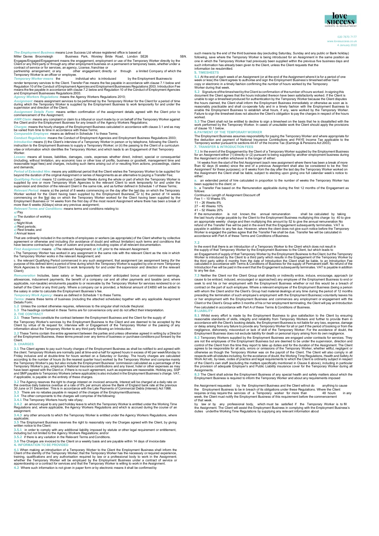

020 7870 7177 www.lovesuccess.co.uk 4 January 2022

*The Employment Business* means Love Success Ltd whose registered office is based at

Miller Davies Broomsleigh Business Park, Worsley Bride Road, London SE26<br>Engages/Engaged/Engagement means the engagement, employment or use of the Temporary Worker directly by the<br>Client or any third party or through any o

render temporary services to the Client. Transfer Fee means the fee payable in accordance with clause 7.1 below and<br>Regulation 10 of the Conduct of Employment Agencies and Employment Businesses Regulations 2003. Introducti

*Agency Workers Regulations*: means the Agency Workers Regulations 2010;

*Assignment*: means assignment services to be performed by the Temporary Worker for the Client for a period of time<br>during which the Temporary Worker is supplied by the Employment Business to work temporarily for and under

*Assignment Details Form*: means written confirmation of the assignment details agreed with the Client prior to commencement of the Assignment;

A*WR Claim*: means any complaint or claim to a tribunal or court made by or on behalf of the Temporary Worker against<br>the Client and/or the Employment Business for any breach of the Agency Workers Regulations;<br>*Charges:* m

**Comparable Employee:** means as defined in Schedule 1 to these Terms

*Conduct Regulations*: means the Conduct of Employment Agencies and Employment Business Regulations 2003;

*Introduction* means (I) the Client's interview of a Temporary Worker in person or by telephone, following the Client's instruction to the Employment Business to supply a Temporary Worker; or (ii) the passing to the Client of a curriculum<br>vitae or information which identifies the Temporary Worker; and which leads to an Engagement of that Te Worker.

Losses: means all losses, liabilities, damages, costs, expenses whether direct, indirect, special or consequential<br>(including, without limitation, any economic loss or other loss of profits, business or goodwill, managemen

and demands;<br>Period of Extended Hire: means any additional period that the Client wishes the Temporary Worker to be supplied for<br>Deviond the duration of the original Assignment or series of Assignments as an alternative to

Relevant Period: means a) the period of 8 weeks commencing on the day after the <u>las</u>t day on which the Temporary<br>Worker worked for the Client having been supplied by the Employment Business; or b) the period of 14 weeks f

**a)** Pay

**b)** The duration of working

time; **c)** Night Work **d)** Rest periods; **e)** Rest breaks; and

**f)** Annual leave

That are ordinarily included in the contracts of employees or workers (as appropriate) of the Client whether by collective<br>agreement or otherwise and including (for avoidance of doubt and without limitation) such terms and

*First Assignment:* means: *a)*The relevant Assignment; or *b)*If, prior to the relevant Assignment:

i.The Temporary Worker has worked in any assignment in the same role with the relevant Client as the role in which the Temporary Worker works in the relevant Assignment; and

ii. the relevant Qualifying Period commenced in any such assignment, that assignment (an assignment being (for the<br>purpose of this defined term) a period of time during which the Temporary Worker is supplied by one or more Client);

*R* Includes, base salary or fees, guaranteed and/or anticipated bonus and commission earnings, allowances, inducement payments, the benefit of a company car and all other payments and taxable (and, where a<br>applicable, non-taxable) emoluments payable to or receivable by the Temporary Worker for services rendered to o

*Terms:* means these terms of business (including the attached schedules) together with any applicable Assignment Details Form;

**1.2** Unless the context otherwise requires, references to the singular shall include theplural. **1.3** The headings contained in these Terms are for convenience only and do not affect their interpretation.

**2. THE CONTRACT 2.1** These Terms constitute the contract between the Employment Business and the Client for the supply of

the Temporary Worker's services by the Employment Business to the Client and are deemed to be accepted by the<br>Client by virtue of its request for, interview with or Engagement of the Temporary Worker or the passing of any<br>

2.2 These Terms contain the entire agreement between the parties and unless otherwise agreed in writing by a Director<br>of the Employment Business, these terms prevail over any terms of business or purchase conditions put fo

3. CHARGES<br>
SLAT he Client agrees to pay such hourly charges of the Employment Business as shall be notified to and agreed with<br>
SLAT he Client Termporary Workers are normally paid at time-and-a half for agreed hours in ex

3.2 The Agency reserves the right to charge interest on invoiced amounts. Interest will be charged at a daily rate on<br>the overdue daily balance overdue at a rate of 8% per annum above the Bank of England bank rate at the p

3.4 The other components to the charges will comprise of the following:<br>3.4.1 The Temporary Workers hourly rate ofpay;<br>3.4.2 an amount equal to any paid holiday leave to which the Temporary Worker is entitled under the Wo assignment.

**3.4.3** any other amounts to which the Temporary Worker is entitled under the Agency Workers Regulations, where applicable;

applictuate.<br>3.5 The Employment Business reserves the right to reasonably vary the Charges agreed with the Client, by giving<br>written notice to the Client:

**3.5.1** in order to comply with any additional liability imposed by statute or other legal requirement or entitlement, including but not limited to the Agency Workers Regulations; and/or

3.5.2 if there is any variation in the Relevant Terms and Conditions.<br>3.6 The Charges are invoiced to the Client on a weekly basis and are payable within 14 days of invoicedate<br>4. INFORMATION TO BE PROVIDED

4.1 When making an introduction of a Temporary Worker to the Client the Employment Business shall inform the<br>Client of the identity of the Temporary Worker, that the Temporary Worker has the necessary or required experienc **4.2** Where such information is not given in paper form or by electronic means it shall be confirmed by

such means by the end of the third business day (excluding Saturday, Sunday and any public or Bank holiday) following, save where the Temporary Worker is being introduced for an Assignment in the same position as one in which the Temporary Worker had previously been supplied within the previous five business days and such information has already been given to the Client, unless the Client requests that the information be resubmitted.

## **5. TIMESHEETS**

5.1 At the end of each week of an Assignment (or at the end of the Assignment where it is for a period of one<br>week or less) the Client agrees to authorise and sign the Employment Business's timesheet either hard<br>copy or el

**5.2** Signature of the timesheet by the Client isconfirmation of thenumber ofhours worked. In signing this document the Client agrees that the hours indicated thereon have been satisfactorily worked. If the Client is unable to sign a timesheet produced for authentication by the Temporary Worker because the Client disputes

the hours claimed, the Client shall inform the Employment Business immediately or otherwise as soon as is reasonably practicable and shall co-operate fully and in a timely fashion with the Employment Business to<br>enable the Employment Business to establish what hours, if any, were worked by the Temporary Worker.<br>Failure to sign worked.

5.3 The Client shall not be entitled to decline to sign a timesheet on the basis that he is dissatisfied with the<br>work performed by the Temporary Worker. In cases of unsuitable work the Client should apply the provisions<br>o

# **6.PAYMENT OF THE TEMPORARY WORKER**

The Employment Business assumes responsibility for paying the Temporary Worker and where appropriate for<br>the deduction and payment of National Insurance Contributions and PAYE Income Tax applicable to the<br>Temporary worker **7. TRANSFER & INTRODUCTION FEES**

7.1 In the event of the Engagement by the Client of a Temporary Worker supplied by the Employment Business<br>for an Assignment either (1) directly or (2) pursuant to being supplied by another employment business during<br>the A

**a.** an extended period of hire calculated in proportion to the number of weeks the Temporary Worker has been supplied to the client; or

**b.** a Transfer Fee based on the Remuneration applicable during the first 12 months of the Engagement as follows: Continuous Length of Assignment Discount off

Fee 1 – 10 Weeks 5%

11 – 26 Weeks 8% 27 – 40 Weeks 10%

 $41 - 52$  Weeks  $20\%$ 

If the remuneration is not known, the annual remuneration as shall be calculated by taking<br>the last hourly charge payable by the Client to the Employment Business multiplying this charge by 40 to give<br>an appropriate weekl

**7.2** In the event that there is an Introduction of a Temporary Worker to the Client which does not result in the supply of that Temporary Worker by the Employment Business to the Client, but which leads to

an Engagement of supply of that Temporary Worker by the Employment Business to the Client, but the Temporary<br>Worker is introduced by the Client to a third party which results in the Engagement of the Temporary Worker by<br>th Introduction Fee will be paid in the event that the Engagement subsequently terminates. VAT is payable in addition to any fee due.

**7.3** Neither the Client nor the Client Group shall directly or indirectly entice, induce, encourage, approach (or cause to be enticed, induced, encouraged or approached) any employee of the Employment Business to end or<br>seek to end his or her employment with the Employment Business whether or not this would be a breach of contract on the part of such employee. Where a relevant employee of the Employment Business (being a person<br>with whom the Client and/or the Client's Group had material dealings at any time during the period of 12 months<br>pr Client or the Client's Group within 3 months of his or her employment terminating, the Client will pay an Introductior<br>Fee calculated in accordance with Part A of these Terms & Conditions of Business.

8 LIABILITY<br>That is very effort is made by the Employment Business to give satisfaction to the Client by ensuring<br>the same reasonable standards of skills, integrity and reliability from Temporary Workers and further to pro

control of the Client from the time they report to take up duties and for the duration of the Assignment. The Client consequences to be responsible for all acts, errors or omissions of the Temporary Worker, whether willful Assignments.

8.3 The Client shall advise the Employment Business of any special health and safety matters about which the<br>Employment Business is required to inform the Temporary Worker and about any requirements imposed

the Assignment requested by the Employment Business and the Client will not do anything to cause<br>the Employment Business to be in breach of its obligations under these Regulations. Where the Client<br>requires or may require

by law or by any professional body, which must be satisfied if the Temporary Worker is to fill<br>the Assignment. The Client will assist the Employment Business in complying with the Employment Business's<br>duties underthe Work